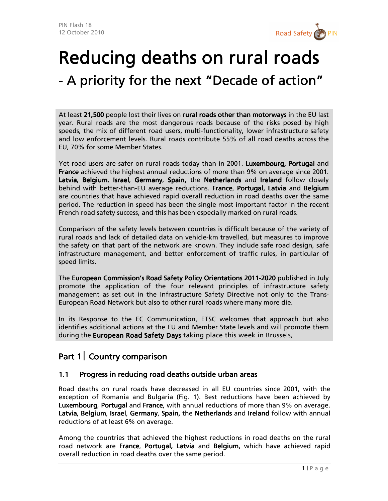

# Reducing deaths on rural roads - A priority for the next "Decade of action"

At least 21,500 people lost their lives on rural roads other than motorways in the EU last year. Rural roads are the most dangerous roads because of the risks posed by high speeds, the mix of different road users, multi-functionality, lower infrastructure safety and low enforcement levels. Rural roads contribute 55% of all road deaths across the EU, 70% for some Member States.

Yet road users are safer on rural roads today than in 2001. Luxembourg, Portugal and **France** achieved the highest annual reductions of more than 9% on average since 2001. Latvia, Belgium, Israel, Germany, Spain, the Netherlands and Ireland follow closely behind with better-than-EU average reductions. France, Portugal, Latvia and Belgium are countries that have achieved rapid overall reduction in road deaths over the same period. The reduction in speed has been the single most important factor in the recent French road safety success, and this has been especially marked on rural roads.

Comparison of the safety levels between countries is difficult because of the variety of rural roads and lack of detailed data on vehicle-km travelled, but measures to improve the safety on that part of the network are known. They include safe road design, safe infrastructure management, and better enforcement of traffic rules, in particular of speed limits.

The European Commission's Road Safety Policy Orientations 2011-2020 published in July promote the application of the four relevant principles of infrastructure safety management as set out in the Infrastructure Safety Directive not only to the Trans-European Road Network but also to other rural roads where many more die.

In its Response to the EC Communication, ETSC welcomes that approach but also identifies additional actions at the EU and Member State levels and will promote them during the European Road Safety Days taking place this week in Brussels.

# Part  $1$  Country comparison

#### 1.1 Progress in reducing road deaths outside urban areas

Road deaths on rural roads have decreased in all EU countries since 2001, with the exception of Romania and Bulgaria (Fig. 1). Best reductions have been achieved by Luxembourg, Portugal and France, with annual reductions of more than 9% on average. Latvia, Belgium, Israel, Germany, Spain, the Netherlands and Ireland follow with annual reductions of at least 6% on average.

Among the countries that achieved the highest reductions in road deaths on the rural road network are France, Portugal, Latvia and Belgium, which have achieved rapid overall reduction in road deaths over the same period.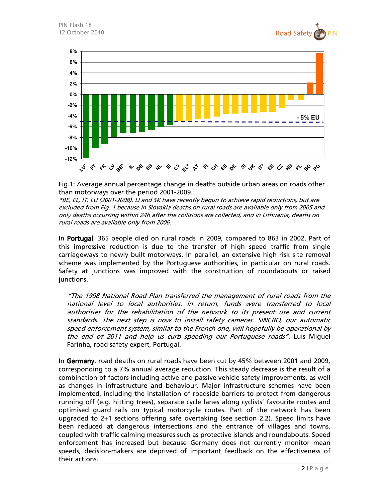



Fig.1: Average annual percentage change in deaths outside urban areas on roads other than motorways over the period 2001-2009.

\*BE, EL, IT, LU (2001-2008). LI and SK have recently begun to achieve rapid reductions, but are excluded from Fig. 1 because in Slovakia deaths on rural roads are available only from 2005 and only deaths occurring within 24h after the collisions are collected, and in Lithuania, deaths on rural roads are available only from 2006.

In **Portugal**, 365 people died on rural roads in 2009, compared to 863 in 2002. Part of this impressive reduction is due to the transfer of high speed traffic from single carriageways to newly built motorways. In parallel, an extensive high risk site removal scheme was implemented by the Portuguese authorities, in particular on rural roads. Safety at junctions was improved with the construction of roundabouts or raised junctions.

"The 1998 National Road Plan transferred the management of rural roads from the national level to local authorities. In return, funds were transferred to local authorities for the rehabilitation of the network to its present use and current standards. The next step is now to install safety cameras. SINCRO, our automatic speed enforcement system, similar to the French one, will hopefully be operational by the end of 2011 and help us curb speeding our Portuguese roads". Luís Miguel Farinha, road safety expert, Portugal.

In Germany, road deaths on rural roads have been cut by 45% between 2001 and 2009, corresponding to a 7% annual average reduction. This steady decrease is the result of a combination of factors including active and passive vehicle safety improvements, as well as changes in infrastructure and behaviour. Major infrastructure schemes have been implemented, including the installation of roadside barriers to protect from dangerous running off (e.g. hitting trees), separate cycle lanes along cyclists' favourite routes and optimised guard rails on typical motorcycle routes. Part of the network has been upgraded to 2+1 sections offering safe overtaking (see section 2.2). Speed limits have been reduced at dangerous intersections and the entrance of villages and towns, coupled with traffic calming measures such as protective islands and roundabouts. Speed enforcement has increased but because Germany does not currently monitor mean speeds, decision-makers are deprived of important feedback on the effectiveness of their actions.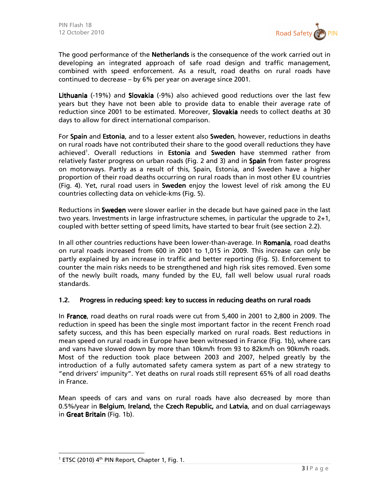

The good performance of the **Netherlands** is the consequence of the work carried out in developing an integrated approach of safe road design and traffic management, combined with speed enforcement. As a result, road deaths on rural roads have continued to decrease – by 6% per year on average since 2001.

Lithuania (-19%) and Slovakia (-9%) also achieved good reductions over the last few years but they have not been able to provide data to enable their average rate of reduction since 2001 to be estimated. Moreover, Slovakia needs to collect deaths at 30 days to allow for direct international comparison.

For Spain and Estonia, and to a lesser extent also Sweden, however, reductions in deaths on rural roads have not contributed their share to the good overall reductions they have achieved<sup>1</sup>. Overall reductions in Estonia and Sweden have stemmed rather from relatively faster progress on urban roads (Fig. 2 and 3) and in **Spain** from faster progress on motorways. Partly as a result of this, Spain, Estonia, and Sweden have a higher proportion of their road deaths occurring on rural roads than in most other EU countries (Fig. 4). Yet, rural road users in Sweden enjoy the lowest level of risk among the EU countries collecting data on vehicle-kms (Fig. 5).

Reductions in **Sweden** were slower earlier in the decade but have gained pace in the last two years. Investments in large infrastructure schemes, in particular the upgrade to 2+1, coupled with better setting of speed limits, have started to bear fruit (see section 2.2).

In all other countries reductions have been lower-than-average. In Romania, road deaths on rural roads increased from 600 in 2001 to 1,015 in 2009. This increase can only be partly explained by an increase in traffic and better reporting (Fig. 5). Enforcement to counter the main risks needs to be strengthened and high risk sites removed. Even some of the newly built roads, many funded by the EU, fall well below usual rural roads standards.

#### 1.2. Progress in reducing speed: key to success in reducing deaths on rural roads

In France, road deaths on rural roads were cut from 5,400 in 2001 to 2,800 in 2009. The reduction in speed has been the single most important factor in the recent French road safety success, and this has been especially marked on rural roads. Best reductions in mean speed on rural roads in Europe have been witnessed in France(Fig. 1b), where cars and vans have slowed down by more than 10km/h from 93 to 82km/h on 90km/h roads. Most of the reduction took place between 2003 and 2007, helped greatly by the introduction of a fully automated safety camera system as part of a new strategy to "end drivers' impunity". Yet deaths on rural roads still represent 65% of all road deaths in France.

Mean speeds of cars and vans on rural roads have also decreased by more than 0.5%/year in Belgium, Ireland, the Czech Republic, and Latvia, and on dual carriageways in Great Britain (Fig. 1b).

 $1$  ETSC (2010) 4<sup>th</sup> PIN Report, Chapter 1, Fig. 1.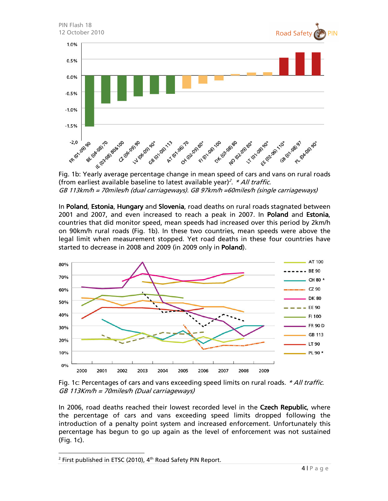

(from earliest available baseline to latest available year)<sup>2</sup>. *\* All traffic.* GB 113km/h = 70miles/h (dual carriageways). GB 97km/h =60miles/h (single carriageways)

In Poland, Estonia, Hungary and Slovenia, road deaths on rural roads stagnated between 2001 and 2007, and even increased to reach a peak in 2007. In Poland and Estonia, countries that did monitor speed, mean speeds had increased over this period by 2km/h on 90km/h rural roads (Fig. 1b). In these two countries, mean speeds were above the legal limit when measurement stopped. Yet road deaths in these four countries have started to decrease in 2008 and 2009 (in 2009 only in Poland).



Fig. 1c: Percentages of cars and vans exceeding speed limits on rural roads. \* All traffic. GB 113Km/h = 70miles/h (Dual carriageways)

In 2006, road deaths reached their lowest recorded level in the Czech Republic, where the percentage of cars and vans exceeding speed limits dropped following the introduction of a penalty point system and increased enforcement. Unfortunately this percentage has begun to go up again as the level of enforcement was not sustained (Fig. 1c).

<sup>&</sup>lt;sup>2</sup> First published in ETSC (2010),  $4<sup>th</sup>$  Road Safety PIN Report.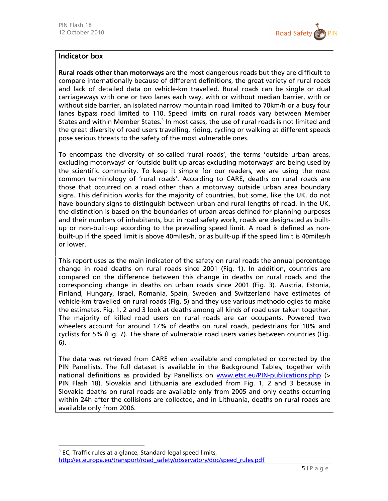

#### Indicator box

Rural roads other than motorways are the most dangerous roads but they are difficult to compare internationally because of different definitions, the great variety of rural roads and lack of detailed data on vehicle-km travelled. Rural roads can be single or dual carriageways with one or two lanes each way, with or without median barrier, with or without side barrier, an isolated narrow mountain road limited to 70km/h or a busy four lanes bypass road limited to 110. Speed limits on rural roads vary between Member States and within Member States.<sup>3</sup> In most cases, the use of rural roads is not limited and the great diversity of road users travelling, riding, cycling or walking at different speeds pose serious threats to the safety of the most vulnerable ones.

To encompass the diversity of so-called 'rural roads', the terms 'outside urban areas, excluding motorways' or 'outside built-up areas excluding motorways' are being used by the scientific community. To keep it simple for our readers, we are using the most common terminology of 'rural roads'. According to CARE, deaths on rural roads are those that occurred on a road other than a motorway outside urban area boundary signs. This definition works for the majority of countries, but some, like the UK, do not have boundary signs to distinguish between urban and rural lengths of road. In the UK, the distinction is based on the boundaries of urban areas defined for planning purposes and their numbers of inhabitants, but in road safety work, roads are designated as builtup or non-built-up according to the prevailing speed limit. A road is defined as nonbuilt-up if the speed limit is above 40miles/h, or as built-up if the speed limit is 40miles/h or lower.

This report uses as the main indicator of the safety on rural roads the annual percentage change in road deaths on rural roads since 2001 (Fig. 1). In addition, countries are compared on the difference between this change in deaths on rural roads and the corresponding change in deaths on urban roads since 2001 (Fig. 3). Austria, Estonia, Finland, Hungary, Israel, Romania, Spain, Sweden and Switzerland have estimates of vehicle-km travelled on rural roads (Fig. 5) and they use various methodologies to make the estimates. Fig. 1, 2 and 3 look at deaths among all kinds of road user taken together. The majority of killed road users on rural roads are car occupants. Powered two wheelers account for around 17% of deaths on rural roads, pedestrians for 10% and cyclists for 5% (Fig. 7). The share of vulnerable road users varies between countries (Fig. 6).

The data was retrieved from CARE when available and completed or corrected by the PIN Panellists. The full dataset is available in the Background Tables, together with national definitions as provided by Panellists on www.etsc.eu/PIN-publications.php (> PIN Flash 18). Slovakia and Lithuania are excluded from Fig. 1, 2 and 3 because in Slovakia deaths on rural roads are available only from 2005 and only deaths occurring within 24h after the collisions are collected, and in Lithuania, deaths on rural roads are available only from 2006.

-

<sup>&</sup>lt;sup>3</sup> EC, Traffic rules at a glance, Standard legal speed limits,

http://ec.europa.eu/transport/road\_safety/observatory/doc/speed\_rules.pdf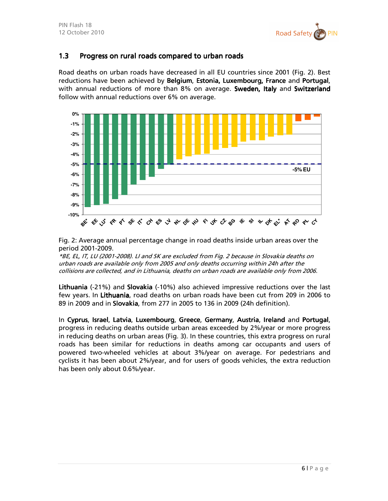

#### 1.3 Progress on rural roads compared to urban roads

Road deaths on urban roads have decreased in all EU countries since 2001 (Fig. 2). Best reductions have been achieved by Belgium, Estonia, Luxembourg, France and Portugal, with annual reductions of more than 8% on average. Sweden, Italy and Switzerland follow with annual reductions over 6% on average.



Fig. 2: Average annual percentage change in road deaths inside urban areas over the period 2001-2009.

\*BE, EL, IT, LU (2001-2008). LI and SK are excluded from Fig. 2 because in Slovakia deaths on urban roads are available only from 2005 and only deaths occurring within 24h after the collisions are collected, and in Lithuania, deaths on urban roads are available only from 2006.

Lithuania (-21%) and Slovakia (-10%) also achieved impressive reductions over the last few years. In Lithuania, road deaths on urban roads have been cut from 209 in 2006 to 89 in 2009 and in Slovakia, from 277 in 2005 to 136 in 2009 (24h definition).

In Cyprus, Israel, Latvia, Luxembourg, Greece, Germany, Austria, Ireland and Portugal, progress in reducing deaths outside urban areas exceeded by 2%/year or more progress in reducing deaths on urban areas (Fig. 3). In these countries, this extra progress on rural roads has been similar for reductions in deaths among car occupants and users of powered two-wheeled vehicles at about 3%/year on average. For pedestrians and cyclists it has been about 2%/year, and for users of goods vehicles, the extra reduction has been only about 0.6%/year.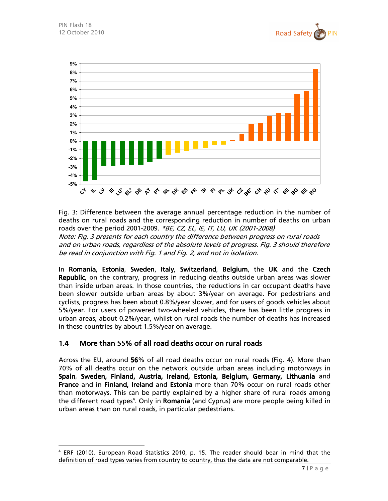

-



Fig. 3: Difference between the average annual percentage reduction in the number of deaths on rural roads and the corresponding reduction in number of deaths on urban roads over the period 2001-2009. \*BE, CZ, EL, IE, IT, LU, UK (2001-2008) Note: Fig. 3 presents for each country the difference between progress on rural roads and on urban roads, regardless of the absolute levels of progress. Fig. 3 should therefore be read in conjunction with Fig. 1 and Fig. 2, and not in isolation.

In Romania, Estonia, Sweden, Italy, Switzerland, Belgium, the UK and the Czech Republic, on the contrary, progress in reducing deaths outside urban areas was slower than inside urban areas. In those countries, the reductions in car occupant deaths have been slower outside urban areas by about 3%/year on average. For pedestrians and cyclists, progress has been about 0.8%/year slower, and for users of goods vehicles about 5%/year. For users of powered two-wheeled vehicles, there has been little progress in urban areas, about 0.2%/year, whilst on rural roads the number of deaths has increased in these countries by about 1.5%/year on average.

#### 1.4 More than 55% of all road deaths occur on rural roads

Across the EU, around 56% of all road deaths occur on rural roads (Fig. 4). More than 70% of all deaths occur on the network outside urban areas including motorways in Spain, Sweden, Finland, Austria, Ireland, Estonia, Belgium, Germany, Lithuania and France and in Finland, Ireland and Estonia more than 70% occur on rural roads other than motorways. This can be partly explained by a higher share of rural roads among the different road types<sup>4</sup>. Only in Romania (and Cyprus) are more people being killed in urban areas than on rural roads, in particular pedestrians.

<sup>4</sup> ERF (2010), European Road Statistics 2010, p. 15. The reader should bear in mind that the definition of road types varies from country to country, thus the data are not comparable.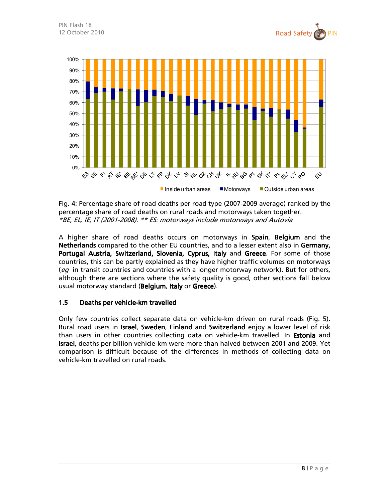



Fig. 4: Percentage share of road deaths per road type (2007-2009 average) ranked by the percentage share of road deaths on rural roads and motorways taken together. \*BE, EL, IE, IT (2001-2008). \*\* ES: motorways include motorways and Autovia

A higher share of road deaths occurs on motorways in Spain, Belgium and the Netherlands compared to the other EU countries, and to a lesser extent also in Germany, Portugal Austria, Switzerland, Slovenia, Cyprus, Italy and Greece. For some of those countries, this can be partly explained as they have higher traffic volumes on motorways (eq in transit countries and countries with a longer motorway network). But for others, although there are sections where the safety quality is good, other sections fall below usual motorway standard (Belgium, Italy or Greece).

#### 1.5 Deaths per vehicle-km travelled

Only few countries collect separate data on vehicle-km driven on rural roads (Fig. 5). Rural road users in **Israel, Sweden, Finland** and Switzerland enjoy a lower level of risk than users in other countries collecting data on vehicle-km travelled. In **Estonia** and **Israel**, deaths per billion vehicle-km were more than halved between 2001 and 2009. Yet comparison is difficult because of the differences in methods of collecting data on vehicle-km travelled on rural roads.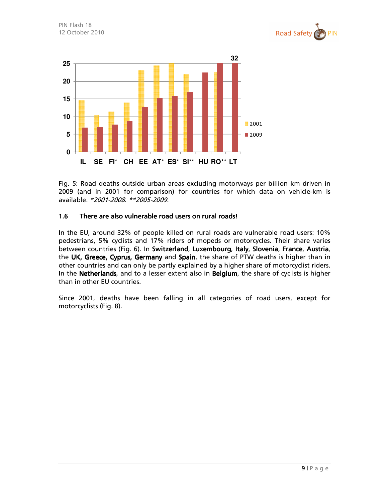



Fig. 5: Road deaths outside urban areas excluding motorways per billion km driven in 2009 (and in 2001 for comparison) for countries for which data on vehicle-km is available. \*2001-2008. \*\*2005-2009.

#### 1.6 There are also vulnerable road users on rural roads!

In the EU, around 32% of people killed on rural roads are vulnerable road users: 10% pedestrians, 5% cyclists and 17% riders of mopeds or motorcycles. Their share varies between countries (Fig. 6). In Switzerland, Luxembourg, Italy, Slovenia, France, Austria, the UK, Greece, Cyprus, Germany and Spain, the share of PTW deaths is higher than in other countries and can only be partly explained by a higher share of motorcyclist riders. In the Netherlands, and to a lesser extent also in Belgium, the share of cyclists is higher than in other EU countries.

Since 2001, deaths have been falling in all categories of road users, except for motorcyclists (Fig. 8).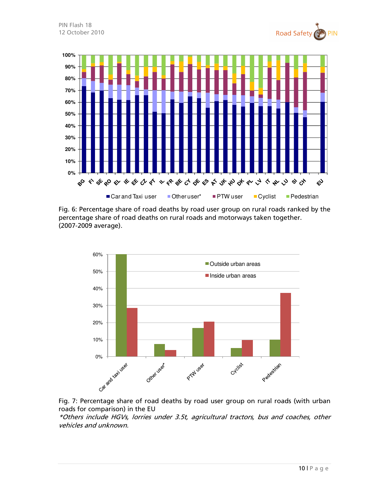







Fig. 7: Percentage share of road deaths by road user group on rural roads (with urban roads for comparison) in the EU

\*Others include HGVs, lorries under 3.5t, agricultural tractors, bus and coaches, other vehicles and unknown.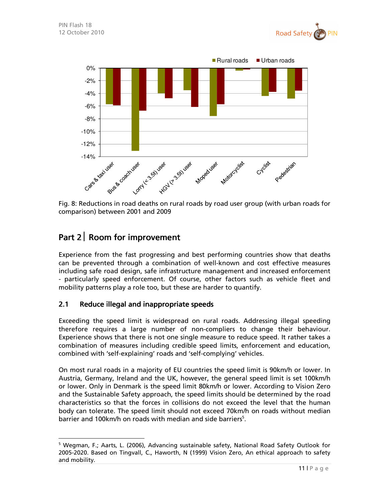



Fig. 8: Reductions in road deaths on rural roads by road user group (with urban roads for comparison) between 2001 and 2009

# Part 2 Room for improvement

 $\ddot{ }$ 

Experience from the fast progressing and best performing countries show that deaths can be prevented through a combination of well-known and cost effective measures including safe road design, safe infrastructure management and increased enforcement - particularly speed enforcement. Of course, other factors such as vehicle fleet and mobility patterns play a role too, but these are harder to quantify.

### 2.1 Reduce illegal and inappropriate speeds

Exceeding the speed limit is widespread on rural roads. Addressing illegal speeding therefore requires a large number of non-compliers to change their behaviour. Experience shows that there is not one single measure to reduce speed. It rather takes a combination of measures including credible speed limits, enforcement and education, combined with 'self-explaining' roads and 'self-complying' vehicles.

On most rural roads in a majority of EU countries the speed limit is 90km/h or lower. In Austria, Germany, Ireland and the UK, however, the general speed limit is set 100km/h or lower. Only in Denmark is the speed limit 80km/h or lower. According to Vision Zero and the Sustainable Safety approach, the speed limits should be determined by the road characteristics so that the forces in collisions do not exceed the level that the human body can tolerate. The speed limit should not exceed 70km/h on roads without median barrier and 100km/h on roads with median and side barriers<sup>5</sup>.

<sup>&</sup>lt;sup>5</sup> Wegman, F.; Aarts, L. (2006), Advancing sustainable safety, National Road Safety Outlook for 2005-2020. Based on Tingvall, C., Haworth, N (1999) Vision Zero, An ethical approach to safety and mobility.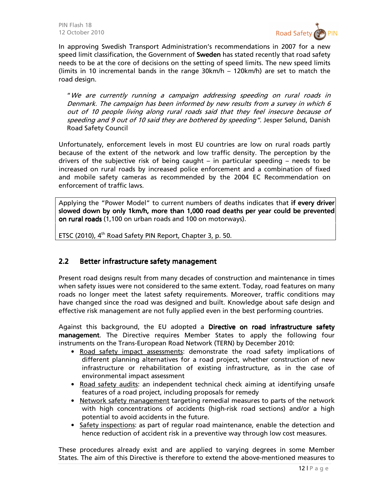

In approving Swedish Transport Administration's recommendations in 2007 for a new speed limit classification, the Government of **Sweden** has stated recently that road safety needs to be at the core of decisions on the setting of speed limits. The new speed limits (limits in 10 incremental bands in the range 30km/h – 120km/h) are set to match the road design.

"We are currently running a campaign addressing speeding on rural roads in Denmark. The campaign has been informed by new results from a survey in which 6 out of 10 people living along rural roads said that they feel insecure because of speeding and 9 out of 10 said they are bothered by speeding". Jesper Sølund, Danish Road Safety Council

Unfortunately, enforcement levels in most EU countries are low on rural roads partly because of the extent of the network and low traffic density. The perception by the drivers of the subjective risk of being caught – in particular speeding – needs to be increased on rural roads by increased police enforcement and a combination of fixed and mobile safety cameras as recommended by the 2004 EC Recommendation on enforcement of traffic laws.

Applying the "Power Model" to current numbers of deaths indicates that if every driver slowed down by only 1km/h, more than 1,000 road deaths per year could be prevented on rural roads (1,100 on urban roads and 100 on motorways).

ETSC (2010),  $4<sup>th</sup>$  Road Safety PIN Report, Chapter 3, p. 50.

#### 2.2 Better infrastructure safety management

Present road designs result from many decades of construction and maintenance in times when safety issues were not considered to the same extent. Today, road features on many roads no longer meet the latest safety requirements. Moreover, traffic conditions may have changed since the road was designed and built. Knowledge about safe design and effective risk management are not fully applied even in the best performing countries.

Against this background, the EU adopted a Directive on road infrastructure safety management. The Directive requires Member States to apply the following four instruments on the Trans-European Road Network (TERN) by December 2010:

- Road safety impact assessments: demonstrate the road safety implications of different planning alternatives for a road project, whether construction of new infrastructure or rehabilitation of existing infrastructure, as in the case of environmental impact assessment
- Road safety audits: an independent technical check aiming at identifying unsafe features of a road project, including proposals for remedy
- Network safety management targeting remedial measures to parts of the network with high concentrations of accidents (high-risk road sections) and/or a high potential to avoid accidents in the future.
- Safety inspections: as part of regular road maintenance, enable the detection and hence reduction of accident risk in a preventive way through low cost measures.

These procedures already exist and are applied to varying degrees in some Member States. The aim of this Directive is therefore to extend the above-mentioned measures to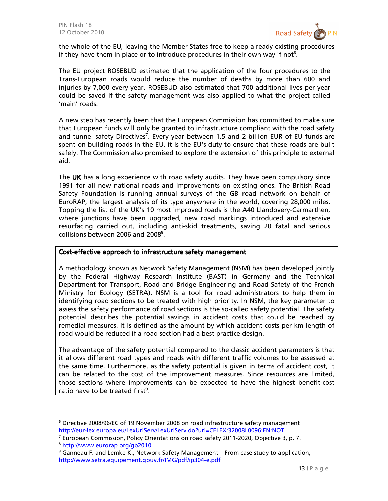

the whole of the EU, leaving the Member States free to keep already existing procedures if they have them in place or to introduce procedures in their own way if not $6$ .

The EU project ROSEBUD estimated that the application of the four procedures to the Trans-European roads would reduce the number of deaths by more than 600 and injuries by 7,000 every year. ROSEBUD also estimated that 700 additional lives per year could be saved if the safety management was also applied to what the project called 'main' roads.

A new step has recently been that the European Commission has committed to make sure that European funds will only be granted to infrastructure compliant with the road safety and tunnel safety Directives<sup>7</sup>. Every year between 1.5 and 2 billion EUR of EU funds are spent on building roads in the EU, it is the EU's duty to ensure that these roads are built safely. The Commission also promised to explore the extension of this principle to external aid.

The UK has a long experience with road safety audits. They have been compulsory since 1991 for all new national roads and improvements on existing ones. The British Road Safety Foundation is running annual surveys of the GB road network on behalf of EuroRAP, the largest analysis of its type anywhere in the world, covering 28,000 miles. Topping the list of the UK's 10 most improved roads is the A40 Llandovery-Carmarthen, where junctions have been upgraded, new road markings introduced and extensive resurfacing carried out, including anti-skid treatments, saving 20 fatal and serious collisions between 2006 and 2008<sup>8</sup>.

#### Cost-effective approach to infrastructure safety management

A methodology known as Network Safety Management (NSM) has been developed jointly by the Federal Highway Research Institute (BAST) in Germany and the Technical Department for Transport, Road and Bridge Engineering and Road Safety of the French Ministry for Ecology (SETRA). NSM is a tool for road administrators to help them in identifying road sections to be treated with high priority. In NSM, the key parameter to assess the safety performance of road sections is the so-called safety potential. The safety potential describes the potential savings in accident costs that could be reached by remedial measures. It is defined as the amount by which accident costs per km length of road would be reduced if a road section had a best practice design.

The advantage of the safety potential compared to the classic accident parameters is that it allows different road types and roads with different traffic volumes to be assessed at the same time. Furthermore, as the safety potential is given in terms of accident cost, it can be related to the cost of the improvement measures. Since resources are limited, those sections where improvements can be expected to have the highest benefit-cost ratio have to be treated first<sup>9</sup>.

<sup>6</sup> Directive 2008/96/EC of 19 November 2008 on road infrastructure safety management http://eur-lex.europa.eu/LexUriServ/LexUriServ.do?uri=CELEX:32008L0096:EN:NOT

 $^7$  European Commission, Policy Orientations on road safety 2011-2020, Objective 3, p. 7.

<sup>8</sup> http://www.eurorap.org/gb2010

 $^{\rm 9}$  Ganneau F. and Lemke K., Network Safety Management – From case study to application, http://www.setra.equipement.gouv.fr/IMG/pdf/ip304-e.pdf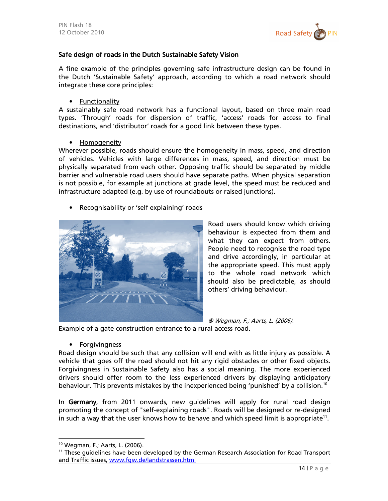

#### Safe design of roads in the Dutch Sustainable Safety Vision

A fine example of the principles governing safe infrastructure design can be found in the Dutch 'Sustainable Safety' approach, according to which a road network should integrate these core principles:

• Functionality

A sustainably safe road network has a functional layout, based on three main road types. 'Through' roads for dispersion of traffic, 'access' roads for access to final destinations, and 'distributor' roads for a good link between these types.

• Homogeneity

Wherever possible, roads should ensure the homogeneity in mass, speed, and direction of vehicles. Vehicles with large differences in mass, speed, and direction must be physically separated from each other. Opposing traffic should be separated by middle barrier and vulnerable road users should have separate paths. When physical separation is not possible, for example at junctions at grade level, the speed must be reduced and infrastructure adapted (e.g. by use of roundabouts or raised junctions).

• Recognisability or 'self explaining' roads



Road users should know which driving behaviour is expected from them and what they can expect from others. People need to recognise the road type and drive accordingly, in particular at the appropriate speed. This must apply to the whole road network which should also be predictable, as should others' driving behaviour.

® Wegman, F.; Aarts, L. (2006).

Example of a gate construction entrance to a rural access road.

• Forgivingness

Road design should be such that any collision will end with as little injury as possible. A vehicle that goes off the road should not hit any rigid obstacles or other fixed objects. Forgivingness in Sustainable Safety also has a social meaning. The more experienced drivers should offer room to the less experienced drivers by displaying anticipatory behaviour. This prevents mistakes by the inexperienced being 'punished' by a collision.<sup>10</sup>

In Germany, from 2011 onwards, new guidelines will apply for rural road design promoting the concept of "self-explaining roads". Roads will be designed or re-designed in such a way that the user knows how to behave and which speed limit is appropriate<sup>11</sup>.

<sup>10</sup> Wegman, F.; Aarts, L. (2006).

<sup>&</sup>lt;sup>11</sup> These guidelines have been developed by the German Research Association for Road Transport and Traffic issues, www.fgsv.de/landstrassen.html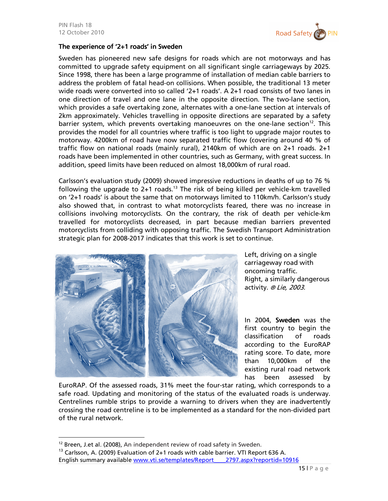

#### The experience of '2+1 roads' in Sweden

Sweden has pioneered new safe designs for roads which are not motorways and has committed to upgrade safety equipment on all significant single carriageways by 2025. Since 1998, there has been a large programme of installation of median cable barriers to address the problem of fatal head-on collisions. When possible, the traditional 13 meter wide roads were converted into so called '2+1 roads'. A 2+1 road consists of two lanes in one direction of travel and one lane in the opposite direction. The two-lane section, which provides a safe overtaking zone, alternates with a one-lane section at intervals of 2km approximately. Vehicles travelling in opposite directions are separated by a safety barrier system, which prevents overtaking manoeuvres on the one-lane section<sup>12</sup>. This provides the model for all countries where traffic is too light to upgrade major routes to motorway. 4200km of road have now separated traffic flow (covering around 40 % of traffic flow on national roads (mainly rural), 2140km of which are on 2+1 roads. 2+1 roads have been implemented in other countries, such as Germany, with great success. In addition, speed limits have been reduced on almost 18,000km of rural road.

Carlsson's evaluation study (2009) showed impressive reductions in deaths of up to 76 % following the upgrade to  $2+1$  roads.<sup>13</sup> The risk of being killed per vehicle-km travelled on '2+1 roads' is about the same that on motorways limited to 110km/h. Carlsson's study also showed that, in contrast to what motorcyclists feared, there was no increase in collisions involving motorcyclists. On the contrary, the risk of death per vehicle-km travelled for motorcyclists decreased, in part because median barriers prevented motorcyclists from colliding with opposing traffic. The Swedish Transport Administration strategic plan for 2008-2017 indicates that this work is set to continue.



Left, driving on a single carriageway road with oncoming traffic. Right, a similarly dangerous activity. ® Lie, 2003.

In 2004, Sweden was the first country to begin the classification of roads according to the EuroRAP rating score. To date, more than 10,000km of the existing rural road network has been assessed by

EuroRAP. Of the assessed roads, 31% meet the four-star rating, which corresponds to a safe road. Updating and monitoring of the status of the evaluated roads is underway. Centrelines rumble strips to provide a warning to drivers when they are inadvertently crossing the road centreline is to be implemented as a standard for the non-divided part of the rural network.

 $12$  Breen, J.et al. (2008), An independent review of road safety in Sweden.

<sup>&</sup>lt;sup>13</sup> Carlsson, A. (2009) Evaluation of 2+1 roads with cable barrier. VTI Report 636 A. English summary available www.vti.se/templates/Report\_\_\_\_2797.aspx?reportid=10916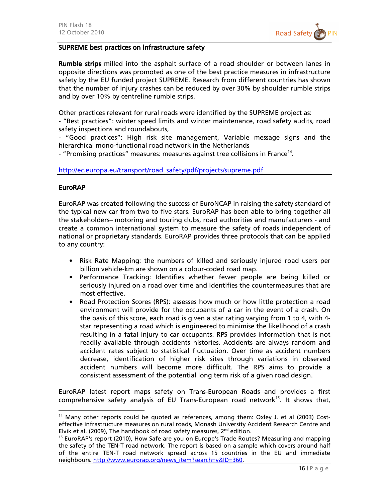

#### SUPREME best practices on infrastructure safety

Rumble strips milled into the asphalt surface of a road shoulder or between lanes in opposite directions was promoted as one of the best practice measures in infrastructure safety by the EU funded project SUPREME. Research from different countries has shown that the number of injury crashes can be reduced by over 30% by shoulder rumble strips and by over 10% by centreline rumble strips.

Other practices relevant for rural roads were identified by the SUPREME project as:

- "Best practices": winter speed limits and winter maintenance, road safety audits, road safety inspections and roundabouts,

- "Good practices": High risk site management, Variable message signs and the hierarchical mono-functional road network in the Netherlands

- "Promising practices" measures: measures against tree collisions in France<sup>14</sup>.

http://ec.europa.eu/transport/road\_safety/pdf/projects/supreme.pdf

#### **EuroRAP**

 $\overline{a}$ 

EuroRAP was created following the success of EuroNCAP in raising the safety standard of the typical new car from two to five stars. EuroRAP has been able to bring together all the stakeholders– motoring and touring clubs, road authorities and manufacturers - and create a common international system to measure the safety of roads independent of national or proprietary standards. EuroRAP provides three protocols that can be applied to any country:

- Risk Rate Mapping: the numbers of killed and seriously injured road users per billion vehicle-km are shown on a colour-coded road map.
- Performance Tracking: Identifies whether fewer people are being killed or seriously injured on a road over time and identifies the countermeasures that are most effective.
- Road Protection Scores (RPS): assesses how much or how little protection a road environment will provide for the occupants of a car in the event of a crash. On the basis of this score, each road is given a star rating varying from 1 to 4, with 4 star representing a road which is engineered to minimise the likelihood of a crash resulting in a fatal injury to car occupants. RPS provides information that is not readily available through accidents histories. Accidents are always random and accident rates subject to statistical fluctuation. Over time as accident numbers decrease, identification of higher risk sites through variations in observed accident numbers will become more difficult. The RPS aims to provide a consistent assessment of the potential long term risk of a given road design.

EuroRAP latest report maps safety on Trans-European Roads and provides a first comprehensive safety analysis of EU Trans-European road network<sup>15</sup>. It shows that,

 $14$  Many other reports could be quoted as references, among them: Oxley J. et al (2003) Costeffective infrastructure measures on rural roads, Monash University Accident Research Centre and Elvik et al. (2009), The handbook of road safety measures,  $2^{nd}$  edition.

<sup>&</sup>lt;sup>15</sup> EuroRAP's report (2010), How Safe are you on Europe's Trade Routes? Measuring and mapping the safety of the TEN-T road network. The report is based on a sample which covers around half of the entire TEN-T road network spread across 15 countries in the EU and immediate neighbours. http://www.eurorap.org/news\_item?search=y&ID=360.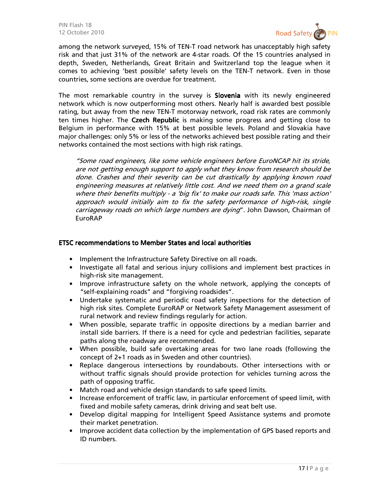

among the network surveyed, 15% of TEN-T road network has unacceptably high safety risk and that just 31% of the network are 4-star roads. Of the 15 countries analysed in depth, Sweden, Netherlands, Great Britain and Switzerland top the league when it comes to achieving 'best possible' safety levels on the TEN-T network. Even in those countries, some sections are overdue for treatment.

The most remarkable country in the survey is **Slovenia** with its newly engineered network which is now outperforming most others. Nearly half is awarded best possible rating, but away from the new TEN-T motorway network, road risk rates are commonly ten times higher. The Czech Republic is making some progress and getting close to Belgium in performance with 15% at best possible levels. Poland and Slovakia have major challenges: only 5% or less of the networks achieved best possible rating and their networks contained the most sections with high risk ratings.

"Some road engineers, like some vehicle engineers before EuroNCAP hit its stride, are not getting enough support to apply what they know from research should be done. Crashes and their severity can be cut drastically by applying known road engineering measures at relatively little cost. And we need them on a grand scale where their benefits multiply - a 'big fix' to make our roads safe. This 'mass action' approach would initially aim to fix the safety performance of high-risk, single carriageway roads on which large numbers are dying". John Dawson, Chairman of EuroRAP

#### ETSC recommendations to Member States ETSC recommendations to Member States ecommendations to Member Statesand local authorities and local authorities and local authorities

- Implement the Infrastructure Safety Directive on all roads.
- Investigate all fatal and serious injury collisions and implement best practices in high-risk site management.
- Improve infrastructure safety on the whole network, applying the concepts of "self-explaining roads" and "forgiving roadsides".
- Undertake systematic and periodic road safety inspections for the detection of high risk sites. Complete EuroRAP or Network Safety Management assessment of rural network and review findings regularly for action.
- When possible, separate traffic in opposite directions by a median barrier and install side barriers. If there is a need for cycle and pedestrian facilities, separate paths along the roadway are recommended.
- When possible, build safe overtaking areas for two lane roads (following the concept of 2+1 roads as in Sweden and other countries).
- Replace dangerous intersections by roundabouts. Other intersections with or without traffic signals should provide protection for vehicles turning across the path of opposing traffic.
- Match road and vehicle design standards to safe speed limits.
- Increase enforcement of traffic law, in particular enforcement of speed limit, with fixed and mobile safety cameras, drink driving and seat belt use.
- Develop digital mapping for Intelligent Speed Assistance systems and promote their market penetration.
- Improve accident data collection by the implementation of GPS based reports and ID numbers.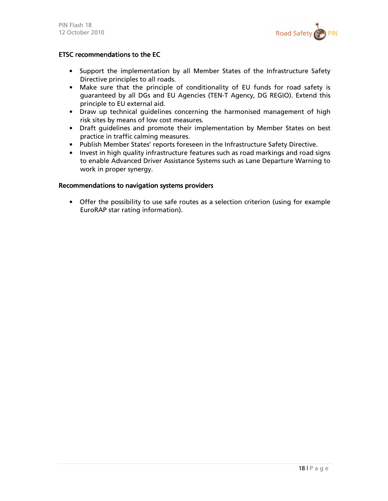

#### ETSC recommendations to the EC

- Support the implementation by all Member States of the Infrastructure Safety Directive principles to all roads.
- Make sure that the principle of conditionality of EU funds for road safety is guaranteed by all DGs and EU Agencies (TEN-T Agency, DG REGIO). Extend this principle to EU external aid.
- Draw up technical guidelines concerning the harmonised management of high risk sites by means of low cost measures.
- Draft guidelines and promote their implementation by Member States on best practice in traffic calming measures.
- Publish Member States' reports foreseen in the Infrastructure Safety Directive.
- Invest in high quality infrastructure features such as road markings and road signs to enable Advanced Driver Assistance Systems such as Lane Departure Warning to work in proper synergy.

#### Recommendations to navigation systems providers

• Offer the possibility to use safe routes as a selection criterion (using for example EuroRAP star rating information).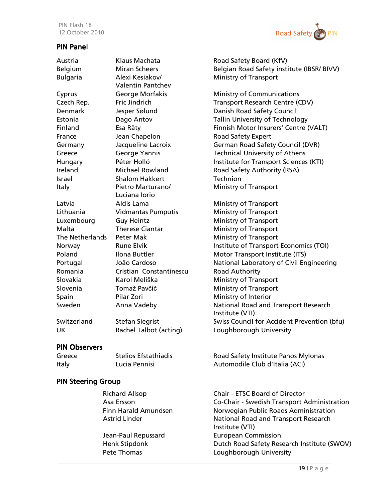## PIN Panel



| Austria                | Klaus Machata             | Road Safety Board (KfV)                     |
|------------------------|---------------------------|---------------------------------------------|
| Belgium                | <b>Miran Scheers</b>      | Belgian Road Safety institute (IBSR/ BIVV)  |
| <b>Bulgaria</b>        | Alexi Kesiakov/           | <b>Ministry of Transport</b>                |
|                        | <b>Valentin Pantchev</b>  |                                             |
| Cyprus                 | George Morfakis           | <b>Ministry of Communications</b>           |
| Czech Rep.             | Fric Jindrich             | Transport Research Centre (CDV)             |
| <b>Denmark</b>         | Jesper Sølund             | Danish Road Safety Council                  |
| Estonia                | Dago Antov                | <b>Tallin University of Technology</b>      |
| Finland                | Esa Räty                  | Finnish Motor Insurers' Centre (VALT)       |
| France                 | Jean Chapelon             | Road Safety Expert                          |
| Germany                | Jacqueline Lacroix        | German Road Safety Council (DVR)            |
| Greece                 | George Yannis             | <b>Technical University of Athens</b>       |
| Hungary                | Péter Holló               | Institute for Transport Sciences (KTI)      |
| Ireland                | <b>Michael Rowland</b>    | Road Safety Authority (RSA)                 |
| Israel                 | <b>Shalom Hakkert</b>     | Technion                                    |
| Italy                  | Pietro Marturano/         | <b>Ministry of Transport</b>                |
|                        | Luciana lorio             |                                             |
| Latvia                 | Aldis Lama                | <b>Ministry of Transport</b>                |
| Lithuania              | <b>Vidmantas Pumputis</b> | <b>Ministry of Transport</b>                |
| Luxembourg             | <b>Guy Heintz</b>         | <b>Ministry of Transport</b>                |
| Malta                  | <b>Therese Ciantar</b>    | <b>Ministry of Transport</b>                |
| <b>The Netherlands</b> | <b>Peter Mak</b>          | <b>Ministry of Transport</b>                |
| Norway                 | <b>Rune Elvik</b>         | Institute of Transport Economics (TOI)      |
| Poland                 | Ilona Buttler             | Motor Transport Institute (ITS)             |
| Portugal               | João Cardoso              | National Laboratory of Civil Engineering    |
| Romania                | Cristian Constantinescu   | Road Authority                              |
| Slovakia               | Karol Meliška             | <b>Ministry of Transport</b>                |
| Slovenia               | Tomaž Pavčič              | <b>Ministry of Transport</b>                |
| Spain                  | Pilar Zori                | Ministry of Interior                        |
| Sweden                 | Anna Vadeby               | National Road and Transport Research        |
|                        |                           | Institute (VTI)                             |
| Switzerland            | <b>Stefan Siegrist</b>    | Swiss Council for Accident Prevention (bfu) |
| <b>UK</b>              | Rachel Talbot (acting)    | Loughborough University                     |
|                        |                           |                                             |

#### PIN Observers

| Greece | Stelios Efstathiadis | Road Safety Institute Panos Mylonas |
|--------|----------------------|-------------------------------------|
| Italy  | Lucia Pennisi        | Automodile Club d'Italia (ACI)      |

## PIN Steering Group

| <b>Richard Allsop</b> | <b>Chair - ETSC Board of Director</b>       |
|-----------------------|---------------------------------------------|
| Asa Ersson            | Co-Chair - Swedish Transport Administration |
| Finn Harald Amundsen  | Norwegian Public Roads Administration       |
| <b>Astrid Linder</b>  | National Road and Transport Research        |
|                       | Institute (VTI)                             |
| Jean-Paul Repussard   | <b>European Commission</b>                  |
| Henk Stipdonk         | Dutch Road Safety Research Institute (SWOV) |
| Pete Thomas           | Loughborough University                     |